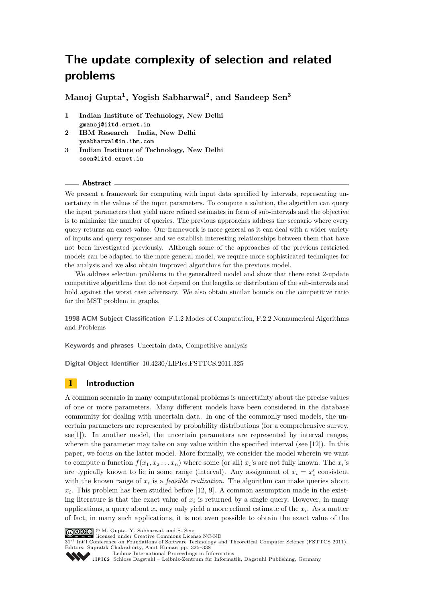**Manoj Gupta<sup>1</sup> , Yogish Sabharwal<sup>2</sup> , and Sandeep Sen<sup>3</sup>**

- **1 Indian Institute of Technology, New Delhi gmanoj@iitd.ernet.in**
- **2 IBM Research India, New Delhi ysabharwal@in.ibm.com**
- **3 Indian Institute of Technology, New Delhi ssen@iitd.ernet.in**

#### **Abstract**

We present a framework for computing with input data specified by intervals, representing uncertainty in the values of the input parameters. To compute a solution, the algorithm can query the input parameters that yield more refined estimates in form of sub-intervals and the objective is to minimize the number of queries. The previous approaches address the scenario where every query returns an exact value. Our framework is more general as it can deal with a wider variety of inputs and query responses and we establish interesting relationships between them that have not been investigated previously. Although some of the approaches of the previous restricted models can be adapted to the more general model, we require more sophisticated techniques for the analysis and we also obtain improved algorithms for the previous model.

We address selection problems in the generalized model and show that there exist 2-update competitive algorithms that do not depend on the lengths or distribution of the sub-intervals and hold against the worst case adversary. We also obtain similar bounds on the competitive ratio for the MST problem in graphs.

**1998 ACM Subject Classification** F.1.2 Modes of Computation, F.2.2 Nonnumerical Algorithms and Problems

**Keywords and phrases** Uncertain data, Competitive analysis

**Digital Object Identifier** [10.4230/LIPIcs.FSTTCS.2011.325](http://dx.doi.org/10.4230/LIPIcs.FSTTCS.2011.325)

# **1 Introduction**

A common scenario in many computational problems is uncertainty about the precise values of one or more parameters. Many different models have been considered in the database community for dealing with uncertain data. In one of the commonly used models, the uncertain parameters are represented by probability distributions (for a comprehensive survey, see[\[1\]](#page-13-0)). In another model, the uncertain parameters are represented by interval ranges, wherein the parameter may take on any value within the specified interval (see  $[12]$ ). In this paper, we focus on the latter model. More formally, we consider the model wherein we want to compute a function  $f(x_1, x_2 \ldots x_n)$  where some (or all)  $x_i$ 's are not fully known. The  $x_i$ 's are typically known to lie in some range (interval). Any assignment of  $x_i = x'_i$  consistent with the known range of *x<sup>i</sup>* is a *feasible realization*. The algorithm can make queries about  $x_i$ . This problem has been studied before [\[12,](#page-13-1) [9\]](#page-13-2). A common assumption made in the existing literature is that the exact value of  $x_i$  is returned by a single query. However, in many applications, a query about *x<sup>i</sup>* may only yield a more refined estimate of the *x<sup>i</sup>* . As a matter of fact, in many such applications, it is not even possible to obtain the exact value of the



© M. Gupta, Y. Sabharwal, and S. Sen; licensed under Creative Commons License NC-ND

 $31<sup>st</sup>$  Int'l Conference on Foundations of Software Technology and Theoretical Computer Science (FSTTCS 2011). Editors: Supratik Chakraborty, Amit Kumar; pp. 325[–338](#page-13-3)

[Leibniz International Proceedings in Informatics](http://www.dagstuhl.de/lipics/)

[Schloss Dagstuhl – Leibniz-Zentrum für Informatik, Dagstuhl Publishing, Germany](http://www.dagstuhl.de)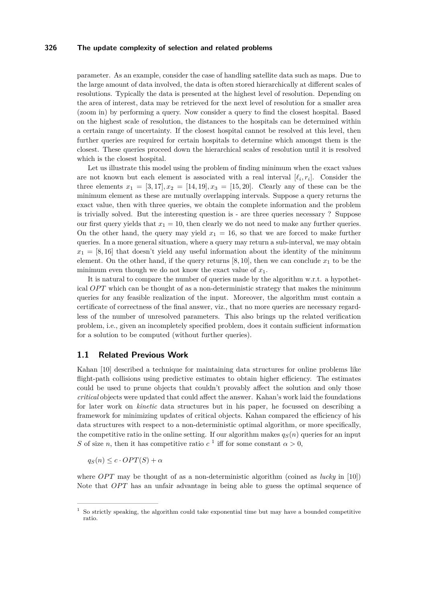parameter. As an example, consider the case of handling satellite data such as maps. Due to the large amount of data involved, the data is often stored hierarchically at different scales of resolutions. Typically the data is presented at the highest level of resolution. Depending on the area of interest, data may be retrieved for the next level of resolution for a smaller area (zoom in) by performing a query. Now consider a query to find the closest hospital. Based on the highest scale of resolution, the distances to the hospitals can be determined within a certain range of uncertainty. If the closest hospital cannot be resolved at this level, then further queries are required for certain hospitals to determine which amongst them is the closest. These queries proceed down the hierarchical scales of resolution until it is resolved which is the closest hospital.

Let us illustrate this model using the problem of finding minimum when the exact values are not known but each element is associated with a real interval  $[\ell_i, r_i]$ . Consider the three elements  $x_1 = [3, 17], x_2 = [14, 19], x_3 = [15, 20].$  Clearly any of these can be the minimum element as these are mutually overlapping intervals. Suppose a query returns the exact value, then with three queries, we obtain the complete information and the problem is trivially solved. But the interesting question is - are three queries necessary ? Suppose our first query yields that  $x_1 = 10$ , then clearly we do not need to make any further queries. On the other hand, the query may yield  $x_1 = 16$ , so that we are forced to make further queries. In a more general situation, where a query may return a sub-interval, we may obtain  $x_1 = [8, 16]$  that doesn't yield any useful information about the identity of the minimum element. On the other hand, if the query returns  $[8, 10]$ , then we can conclude  $x<sub>1</sub>$  to be the minimum even though we do not know the exact value of  $x_1$ .

It is natural to compare the number of queries made by the algorithm w.r.t. a hypothetical *OPT* which can be thought of as a non-deterministic strategy that makes the minimum queries for any feasible realization of the input. Moreover, the algorithm must contain a certificate of correctness of the final answer, viz., that no more queries are necessary regardless of the number of unresolved parameters. This also brings up the related verification problem, i.e., given an incompletely specified problem, does it contain sufficient information for a solution to be computed (without further queries).

### **1.1 Related Previous Work**

Kahan [\[10\]](#page-13-4) described a technique for maintaining data structures for online problems like flight-path collisions using predictive estimates to obtain higher efficiency. The estimates could be used to prune objects that couldn't provably affect the solution and only those *critical* objects were updated that could affect the answer. Kahan's work laid the foundations for later work on *kinetic* data structures but in his paper, he focussed on describing a framework for minimizing updates of critical objects. Kahan compared the efficiency of his data structures with respect to a non-deterministic optimal algorithm, or more specifically, the competitive ratio in the online setting. If our algorithm makes  $q<sub>S</sub>(n)$  queries for an input *S* of size *n*, then it has competitive ratio  $c<sup>1</sup>$  iff for some constant  $\alpha > 0$ ,

 $q_S(n) \leq c \cdot OPT(S) + \alpha$ 

where *OPT* may be thought of as a non-deterministic algorithm (coined as *lucky* in [\[10\]](#page-13-4)) Note that *OPT* has an unfair advantage in being able to guess the optimal sequence of

 $1$  So strictly speaking, the algorithm could take exponential time but may have a bounded competitive ratio.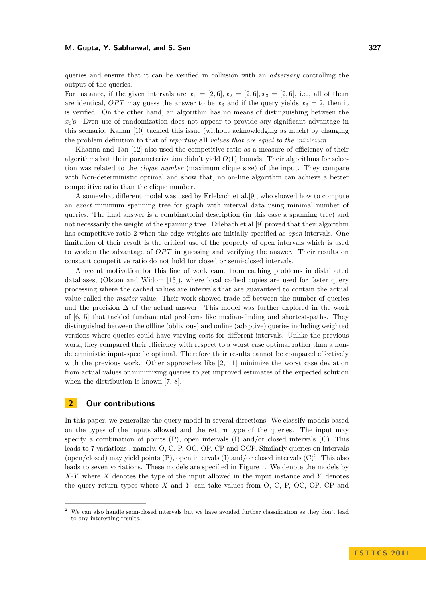#### **M. Gupta, Y. Sabharwal, and S. Sen 327**

queries and ensure that it can be verified in collusion with an *adversary* controlling the output of the queries.

For instance, if the given intervals are  $x_1 = [2, 6], x_2 = [2, 6], x_3 = [2, 6],$  i.e., all of them are identical, *OPT* may guess the answer to be  $x_3$  and if the query yields  $x_3 = 2$ , then it is verified. On the other hand, an algorithm has no means of distinguishing between the  $x_i$ 's. Even use of randomization does not appear to provide any significant advantage in this scenario. Kahan [\[10\]](#page-13-4) tackled this issue (without acknowledging as much) by changing the problem definition to that of *reporting* **all** *values that are equal to the minimum*.

Khanna and Tan [\[12\]](#page-13-1) also used the competitive ratio as a measure of efficiency of their algorithms but their parameterization didn't yield  $O(1)$  bounds. Their algorithms for selection was related to the *clique number* (maximum clique size) of the input. They compare with Non-deterministic optimal and show that, no on-line algorithm can achieve a better competitive ratio than the clique number.

A somewhat different model was used by Erlebach et al.[\[9\]](#page-13-2), who showed how to compute an *exact* minimum spanning tree for graph with interval data using minimal number of queries. The final answer is a combinatorial description (in this case a spanning tree) and not necessarily the weight of the spanning tree. Erlebach et al.[\[9\]](#page-13-2) proved that their algorithm has competitive ratio 2 when the edge weights are initially specified as *open* intervals. One limitation of their result is the critical use of the property of open intervals which is used to weaken the advantage of *OPT* in guessing and verifying the answer. Their results on constant competitive ratio do not hold for closed or semi-closed intervals.

A recent motivation for this line of work came from caching problems in distributed databases, (Olston and Widom [\[13\]](#page-13-5)), where local cached copies are used for faster query processing where the cached values are intervals that are guaranteed to contain the actual value called the *master* value. Their work showed trade-off between the number of queries and the precision  $\Delta$  of the actual answer. This model was further explored in the work of [\[6,](#page-13-6) [5\]](#page-13-7) that tackled fundamental problems like median-finding and shortest-paths. They distinguished between the offline (oblivious) and online (adaptive) queries including weighted versions where queries could have varying costs for different intervals. Unlike the previous work, they compared their efficiency with respect to a worst case optimal rather than a nondeterministic input-specific optimal. Therefore their results cannot be compared effectively with the previous work. Other approaches like [\[2,](#page-13-8) [11\]](#page-13-9) minimize the worst case deviation from actual values or minimizing queries to get improved estimates of the expected solution when the distribution is known [\[7,](#page-13-10) [8\]](#page-13-11).

# **2 Our contributions**

In this paper, we generalize the query model in several directions. We classify models based on the types of the inputs allowed and the return type of the queries. The input may specify a combination of points  $(P)$ , open intervals  $(I)$  and/or closed intervals  $(C)$ . This leads to 7 variations , namely, O, C, P, OC, OP, CP and OCP. Similarly queries on intervals (open/closed) may yield points  $(P)$ , open intervals  $(I)$  and/or closed intervals  $(C)^2$ . This also leads to seven variations. These models are specified in Figure [1.](#page-3-0) We denote the models by *X*-*Y* where *X* denotes the type of the input allowed in the input instance and *Y* denotes the query return types where *X* and *Y* can take values from O, C, P, OC, OP, CP and

<sup>2</sup> We can also handle semi-closed intervals but we have avoided further classification as they don't lead to any interesting results.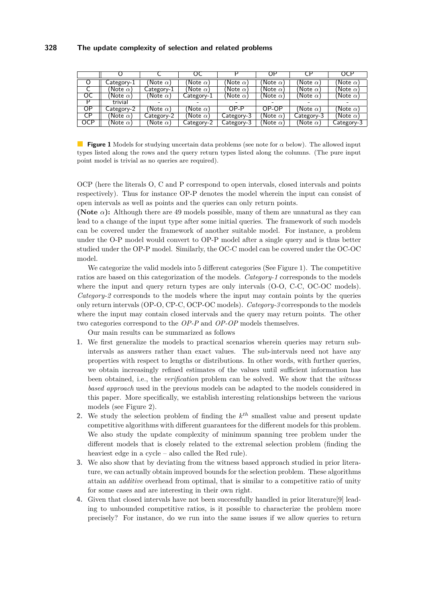<span id="page-3-0"></span>

|                        |                   |                 | UC              |                 | OF                 | C۲               | OCP              |
|------------------------|-------------------|-----------------|-----------------|-----------------|--------------------|------------------|------------------|
|                        | $\zeta$ ategory-1 | Note $\alpha$ ) | Note $\alpha$ ) | Note $\alpha)$  | Note $\alpha$ $\,$ | (Note $\alpha$ ) | Note $\alpha$ )  |
|                        | Note $\alpha$ )   | Category-1      | Note $\alpha$ ) | Note $\alpha$ ) | (Note $\alpha$ )   | (Note $\alpha$ ) | (Note $\alpha$ ) |
| $\overline{\text{oc}}$ | Note $\alpha$ )   | Note $\alpha$ ) | Category-1      | Note $\alpha)$  | Note $\alpha$ )    | (Note $\alpha$ ) | (Note $\alpha$ ) |
| D                      | trivial           |                 |                 |                 |                    |                  |                  |
| ΟP                     | Category-2        | Note $\alpha$ ) | Note $\alpha$ ) | OP-P            | OP-OP              | (Note $\alpha$ ) | (Note $\alpha$ ) |
| CP                     | Note $\alpha$ )   | Category-2      | Note $\alpha$ ) | Category-3      | Note $\alpha)$     | Category-3       | (Note $\alpha$ ) |
| <b>OCP</b>             | Note $\alpha$ )   | Note $\alpha)$  | Category-2      | Category-3      | (Note $\alpha$ )   | (Note $\alpha$ ) | Category-3       |

**Figure 1** Models for studying uncertain data problems (see note for *α* below). The allowed input types listed along the rows and the query return types listed along the columns. (The pure input point model is trivial as no queries are required).

OCP (here the literals O, C and P correspond to open intervals, closed intervals and points respectively). Thus for instance OP-P denotes the model wherein the input can consist of open intervals as well as points and the queries can only return points.

**(Note**  $\alpha$ ): Although there are 49 models possible, many of them are unnatural as they can lead to a change of the input type after some initial queries. The framework of such models can be covered under the framework of another suitable model. For instance, a problem under the O-P model would convert to OP-P model after a single query and is thus better studied under the OP-P model. Similarly, the OC-C model can be covered under the OC-OC model.

We categorize the valid models into 5 different categories (See Figure [1\)](#page-3-0). The competitive ratios are based on this categorization of the models. *Category-1* corresponds to the models where the input and query return types are only intervals (O-O, C-C, OC-OC models). *Category-2* corresponds to the models where the input may contain points by the queries only return intervals (OP-O, CP-C, OCP-OC models). *Category-3* corresponds to the models where the input may contain closed intervals and the query may return points. The other two categories correspond to the *OP-P* and *OP-OP* models themselves.

Our main results can be summarized as follows

- **1.** We first generalize the models to practical scenarios wherein queries may return subintervals as answers rather than exact values. The sub-intervals need not have any properties with respect to lengths or distributions. In other words, with further queries, we obtain increasingly refined estimates of the values until sufficient information has been obtained, i.e., the *verification* problem can be solved. We show that the *witness based approach* used in the previous models can be adapted to the models considered in this paper. More specifically, we establish interesting relationships between the various models (see Figure [2\)](#page-4-0).
- **2.** We study the selection problem of finding the *k th* smallest value and present update competitive algorithms with different guarantees for the different models for this problem. We also study the update complexity of minimum spanning tree problem under the different models that is closely related to the extremal selection problem (finding the heaviest edge in a cycle – also called the Red rule).
- **3.** We also show that by deviating from the witness based approach studied in prior literature, we can actually obtain improved bounds for the selection problem. These algorithms attain an *additive* overhead from optimal, that is similar to a competitive ratio of unity for some cases and are interesting in their own right.
- **4.** Given that closed intervals have not been successfully handled in prior literature[\[9\]](#page-13-2) leading to unbounded competitive ratios, is it possible to characterize the problem more precisely? For instance, do we run into the same issues if we allow queries to return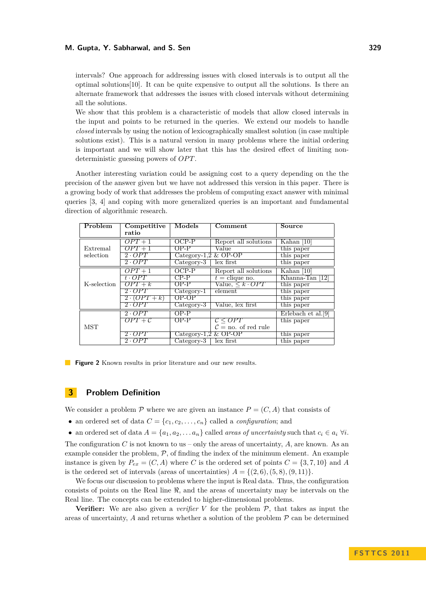#### **M. Gupta, Y. Sabharwal, and S. Sen 329**

intervals? One approach for addressing issues with closed intervals is to output all the optimal solutions[\[10\]](#page-13-4). It can be quite expensive to output all the solutions. Is there an alternate framework that addresses the issues with closed intervals without determining all the solutions.

We show that this problem is a characteristic of models that allow closed intervals in the input and points to be returned in the queries. We extend our models to handle *closed* intervals by using the notion of lexicographically smallest solution (in case multiple solutions exist). This is a natural version in many problems where the initial ordering is important and we will show later that this has the desired effect of limiting nondeterministic guessing powers of *OPT*.

Another interesting variation could be assigning cost to a query depending on the the precision of the answer given but we have not addressed this version in this paper. There is a growing body of work that addresses the problem of computing exact answer with minimal queries [\[3,](#page-13-12) [4\]](#page-13-13) and coping with more generalized queries is an important and fundamental direction of algorithmic research.

<span id="page-4-0"></span>

| Problem     | Competitive         | <b>Models</b>          | Comment                         | Source             |
|-------------|---------------------|------------------------|---------------------------------|--------------------|
|             | ratio               |                        |                                 |                    |
|             | $OPT + 1$           | $OCP-P$                | Report all solutions            | Kahan $[10]$       |
| Extremal    | $OPT+1$             | $OP-P$                 | Value                           | this paper         |
| selection   | $2 \cdot OPT$       | Category-1,2 $&$ OP-OP |                                 | this paper         |
|             | $2 \cdot OPT$       | $Category-3$           | lex first                       | this paper         |
|             | $OPT+1$             | $OCP-P$                | Report all solutions            | Kahan $[10]$       |
|             | $t \cdot OPT$       | $CP-P$                 | $t =$ clique no.                | Khanna-Tan [12]    |
| K-selection | $OPT + k$           | OP-P                   | Value, $\leq k \cdot OPT$       | this paper         |
|             | $2 \cdot OPT$       | Category-1             | element                         | this paper         |
|             | $2 \cdot (OPT + k)$ | $OP-OP$                |                                 | this paper         |
|             | 2.OPT               | Category-3             | Value, lex first                | this paper         |
|             | 2.OPT               | $OP-P$                 |                                 | Erlebach et al.[9] |
|             | $OPT + C$           | OP-P                   | $\mathcal{C} \le OPT$           | this paper         |
| <b>MST</b>  |                     |                        | $\mathcal{C} =$ no. of red rule |                    |
|             | $2 \cdot OPT$       | Category-1,2 & OP-OP   |                                 | this paper         |
|             | $2 \cdot OPT$       | $Category-3$           | lex first                       | this paper         |

**Figure 2** Known results in prior literature and our new results.

## **3 Problem Definition**

We consider a problem  $P$  where we are given an instance  $P = (C, A)$  that consists of

- an ordered set of data  $C = \{c_1, c_2, \ldots, c_n\}$  called a *configuration*; and
- an ordered set of data  $A = \{a_1, a_2, \ldots, a_n\}$  called *areas of uncertainty* such that  $c_i \in a_i \ \forall i$ .

The configuration *C* is not known to us – only the areas of uncertainty, *A*, are known. As an example consider the problem,  $P$ , of finding the index of the minimum element. An example instance is given by  $P_{ex} = (C, A)$  where *C* is the ordered set of points  $C = \{3, 7, 10\}$  and *A* is the ordered set of intervals (areas of uncertainties)  $A = \{(2, 6), (5, 8), (9, 11)\}.$ 

We focus our discussion to problems where the input is Real data. Thus, the configuration consists of points on the Real line  $\Re$ , and the areas of uncertainty may be intervals on the Real line. The concepts can be extended to higher-dimensional problems.

**Verifier:** We are also given a *verifier*  $V$  for the problem  $P$ , that takes as input the areas of uncertainty,  $A$  and returns whether a solution of the problem  $P$  can be determined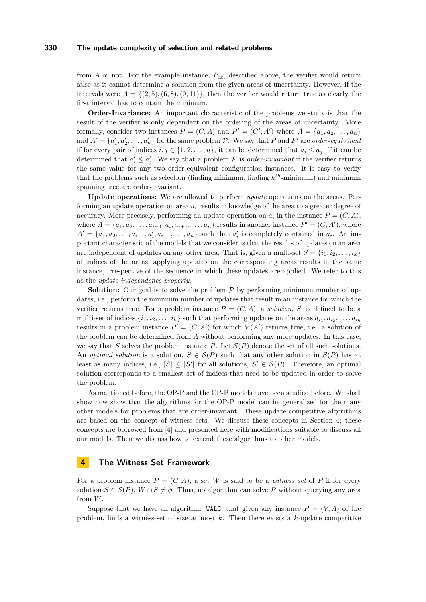from *A* or not. For the example instance,  $P_{ex}$ , described above, the verifier would return false as it cannot determine a solution from the given areas of uncertainty. However, if the intervals were  $A = \{(2, 5), (6, 8), (9, 11)\}$ , then the verifier would return true as clearly the first interval has to contain the minimum.

**Order-Invariance:** An important characteristic of the problems we study is that the result of the verifier is only dependent on the ordering of the areas of uncertainty. More formally, consider two instances  $P = (C, A)$  and  $P' = (C', A')$  where  $A = \{a_1, a_2, \ldots, a_n\}$ and  $A' = \{a'_1, a'_2, \ldots, a'_n\}$  for the same problem  $P$ . We say that  $P$  and  $P'$  are *order-equivalent* if for every pair of indices  $i, j \in \{1, 2, \ldots, n\}$ , it can be determined that  $a_i \leq a_j$  iff it can be determined that  $a'_i \leq a'_j$ . We say that a problem  $P$  is *order-invariant* if the verifier returns the same value for any two order-equivalent configuration instances. It is easy to verify that the problems such as selection (finding minimum, finding *k th*-minimum) and minimum spanning tree are order-invariant.

**Update operations:** We are allowed to perform *update* operations on the areas. Performing an update operation on area  $a_i$  results in knowledge of the area to a greater degree of accuracy. More precisely, performing an update operation on  $a_i$  in the instance  $P = (C, A)$ , where  $A = \{a_1, a_2, \ldots, a_{i-1}, a_i, a_{i+1}, \ldots, a_n\}$  results in another instance  $P' = (C, A')$ , where  $A' = \{a_1, a_2, \ldots, a_{i-1}, a'_i, a_{i+1}, \ldots, a_n\}$  such that  $a'_i$  is completely contained in  $a_i$ . An important characteristic of the models that we consider is that the results of updates on an area are independent of updates on any other area. That is, given a multi-set  $S = \{i_1, i_2, \ldots, i_k\}$ of indices of the areas, applying updates on the corresponding areas results in the same instance, irrespective of the sequence in which these updates are applied. We refer to this as the *update independence property*.

**Solution:** Our goal is to solve the problem  $P$  by performing minimum number of updates, i.e., perform the minimum number of updates that result in an instance for which the verifier returns true. For a problem instance  $P = (C, A)$ , a *solution*, *S*, is defined to be a multi-set of indices  $\{i_1, i_2, \ldots, i_k\}$  such that performing updates on the areas  $a_{i_1}, a_{i_2}, \ldots, a_{i_k}$ results in a problem instance  $P' = (C, A')$  for which  $V(A')$  returns true, i.e., a solution of the problem can be determined from *A* without performing any more updates. In this case, we say that *S* solves the problem instance *P*. Let  $\mathcal{S}(P)$  denote the set of all such solutions. An *optimal solution* is a solution,  $S \in \mathcal{S}(P)$  such that any other solution in  $\mathcal{S}(P)$  has at least as many indices, i.e.,  $|S| \leq |S'|$  for all solutions,  $S' \in \mathcal{S}(P)$ . Therefore, an optimal solution corresponds to a smallest set of indices that need to be updated in order to solve the problem.

As mentioned before, the OP-P and the CP-P models have been studied before. We shall show now show that the algorithms for the OP-P model can be generalized for the many other models for problems that are order-invariant. These update competitive algorithms are based on the concept of witness sets. We discuss these concepts in Section [4;](#page-5-0) these concepts are borrowed from [\[4\]](#page-13-13) and presented here with modifications suitable to discuss all our models. Then we discuss how to extend these algorithms to other models.

## <span id="page-5-0"></span>**4 The Witness Set Framework**

For a problem instance  $P = (C, A)$ , a set W is said to be a *witness set* of P if for every solution  $S \in \mathcal{S}(P)$ ,  $W \cap S \neq \emptyset$ . Thus, no algorithm can solve P without querying any area from *W*.

Suppose that we have an algorithm, WALG, that given any instance  $P = (V, A)$  of the problem, finds a witness-set of size at most *k*. Then there exists a *k*-update competitive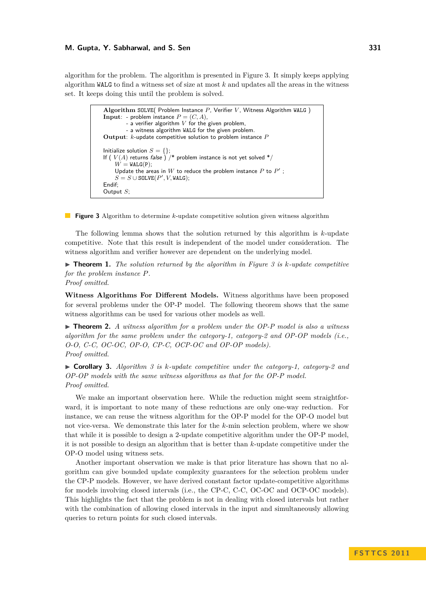#### **M. Gupta, Y. Sabharwal, and S. Sen 331**

<span id="page-6-0"></span>algorithm for the problem. The algorithm is presented in Figure [3.](#page-6-0) It simply keeps applying algorithm WALG to find a witness set of size at most *k* and updates all the areas in the witness set. It keeps doing this until the problem is solved.

```
Algorithm SOLVE( Problem Instance P, Verifier V, Witness Algorithm WALG)
Input: - problem instance P = (C, A),
         - a verifier algorithm V for the given problem,
        - a witness algorithm WALG for the given problem.
Output: k-update competitive solution to problem instance P
Initialize solution S = \{\};If (V(A) returns false) /* problem instance is not yet solved */
    W = WALG(P);
    Update the areas in W to reduce the problem instance P to P';
    S=S\cup \texttt{SOLVE}(P',V,\texttt{WALG});Endif;
Output S;
```
**Figure 3** Algorithm to determine *k*-update competitive solution given witness algorithm

The following lemma shows that the solution returned by this algorithm is *k*-update competitive. Note that this result is independent of the model under consideration. The witness algorithm and verifier however are dependent on the underlying model.

 $\triangleright$  **Theorem 1.** The solution returned by the algorithm in Figure [3](#page-6-0) is k-update competitive *for the problem instance P.*

*Proof omitted.*

**Witness Algorithms For Different Models.** Witness algorithms have been proposed for several problems under the OP-P model. The following theorem shows that the same witness algorithms can be used for various other models as well.

<span id="page-6-1"></span> $\blacktriangleright$  **Theorem 2.** *A witness algorithm for a problem under the OP-P model is also a witness algorithm for the same problem under the category-1, category-2 and OP-OP models (i.e., O-O, C-C, OC-OC, OP-O, CP-C, OCP-OC and OP-OP models). Proof omitted.*

<span id="page-6-2"></span>I **Corollary 3.** *Algorithm [3](#page-6-0) is k-update competitive under the category-1, category-2 and OP-OP models with the same witness algorithms as that for the OP-P model. Proof omitted.*

We make an important observation here. While the reduction might seem straightforward, it is important to note many of these reductions are only one-way reduction. For instance, we can reuse the witness algorithm for the OP-P model for the OP-O model but not vice-versa. We demonstrate this later for the *k*-min selection problem, where we show that while it is possible to design a 2-update competitive algorithm under the OP-P model, it is not possible to design an algorithm that is better than *k*-update competitive under the OP-O model using witness sets.

Another important observation we make is that prior literature has shown that no algorithm can give bounded update complexity guarantees for the selection problem under the CP-P models. However, we have derived constant factor update-competitive algorithms for models involving closed intervals (i.e., the CP-C, C-C, OC-OC and OCP-OC models). This highlights the fact that the problem is not in dealing with closed intervals but rather with the combination of allowing closed intervals in the input and simultaneously allowing queries to return points for such closed intervals.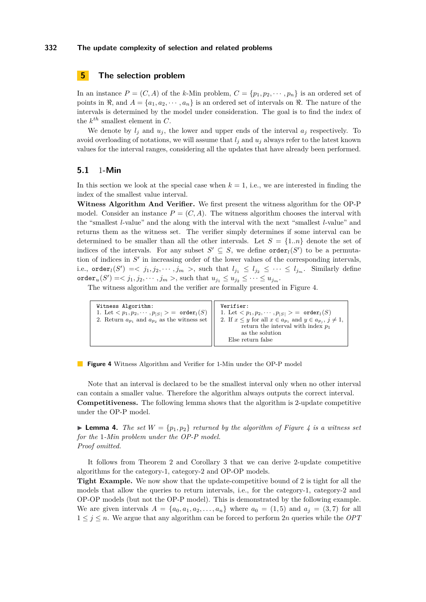# **5 The selection problem**

In an instance  $P = (C, A)$  of the *k*-Min problem,  $C = \{p_1, p_2, \dots, p_n\}$  is an ordered set of points in  $\Re$ , and  $A = \{a_1, a_2, \dots, a_n\}$  is an ordered set of intervals on  $\Re$ . The nature of the intervals is determined by the model under consideration. The goal is to find the index of the  $k^{th}$  smallest element in  $C$ .

We denote by  $l_j$  and  $u_j$ , the lower and upper ends of the interval  $a_j$  respectively. To avoid overloading of notations, we will assume that  $l_i$  and  $u_j$  always refer to the latest known values for the interval ranges, considering all the updates that have already been performed.

### **5.1** 1**-Min**

In this section we look at the special case when  $k = 1$ , i.e., we are interested in finding the index of the smallest value interval.

**Witness Algorithm And Verifier.** We first present the witness algorithm for the OP-P model. Consider an instance  $P = (C, A)$ . The witness algorithm chooses the interval with the "smallest *l*-value" and the along with the interval with the next "smallest *l*-value" and returns them as the witness set. The verifier simply determines if some interval can be determined to be smaller than all the other intervals. Let  $S = \{1..n\}$  denote the set of indices of the intervals. For any subset  $S' \subseteq S$ , we define  $\text{order}_l(S')$  to be a permutation of indices in  $S'$  in increasing order of the lower values of the corresponding intervals, i.e.,  $\text{order}_l(S') \leq \langle j_1, j_2, \cdots, j_m \rangle$ , such that  $l_{j_1} \leq l_{j_2} \leq \cdots \leq l_{j_m}$ . Similarly define  $\operatorname{order}_u(S') = \langle j_1, j_2, \cdots, j_m \rangle$ , such that  $u_{j_1} \le u_{j_2} \le \cdots \le u_{j_m}$ .

<span id="page-7-0"></span>The witness algorithm and the verifier are formally presented in Figure [4.](#page-7-0)

| Witness Algorithm:<br>1. Let $\langle p_1, p_2, \cdots, p_{ S } \rangle = \text{order}_l(S)$<br>2. Return $a_{p_1}$ and $a_{p_2}$ as the witness set | Verifier:<br>1. Let $\langle p_1, p_2, \cdots, p_{ S } \rangle = \text{order}_l(S)$<br>2. If $x \leq y$ for all $x \in a_{p_1}$ and $y \in a_{p_j}$ , $j \neq 1$ ,<br>return the interval with index $p_1$<br>as the solution<br>Else return false |
|------------------------------------------------------------------------------------------------------------------------------------------------------|----------------------------------------------------------------------------------------------------------------------------------------------------------------------------------------------------------------------------------------------------|
|------------------------------------------------------------------------------------------------------------------------------------------------------|----------------------------------------------------------------------------------------------------------------------------------------------------------------------------------------------------------------------------------------------------|

**Figure 4** Witness Algorithm and Verifier for 1-Min under the OP-P model

Note that an interval is declared to be the smallest interval only when no other interval can contain a smaller value. Therefore the algorithm always outputs the correct interval. **Competitiveness.** The following lemma shows that the algorithm is 2-update competitive under the OP-P model.

**Lemma [4](#page-7-0).** *The set*  $W = \{p_1, p_2\}$  *returned by the algorithm of Figure 4 is a witness set for the* 1*-Min problem under the OP-P model. Proof omitted.*

It follows from Theorem [2](#page-6-1) and Corollary [3](#page-6-2) that we can derive 2-update competitive algorithms for the category-1, category-2 and OP-OP models.

**Tight Example.** We now show that the update-competitive bound of 2 is tight for all the models that allow the queries to return intervals, i.e., for the category-1, category-2 and OP-OP models (but not the OP-P model). This is demonstrated by the following example. We are given intervals  $A = \{a_0, a_1, a_2, \ldots, a_n\}$  where  $a_0 = (1, 5)$  and  $a_j = (3, 7)$  for all  $1 \leq j \leq n$ . We argue that any algorithm can be forced to perform 2*n* queries while the *OPT*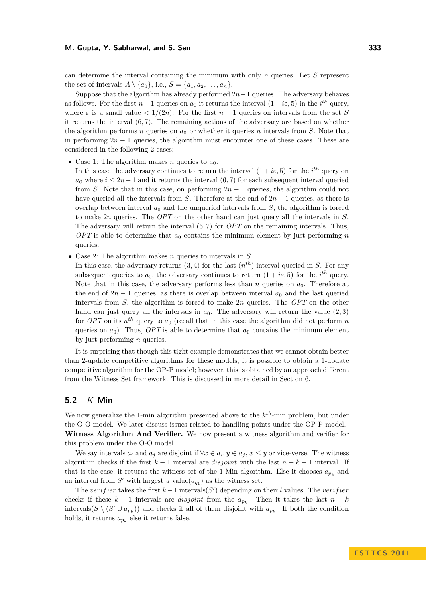can determine the interval containing the minimum with only *n* queries. Let *S* represent the set of intervals  $A \setminus \{a_0\}$ , i.e.,  $S = \{a_1, a_2, \ldots, a_n\}$ .

Suppose that the algorithm has already performed 2*n*−1 queries. The adversary behaves as follows. For the first  $n-1$  queries on  $a_0$  it returns the interval  $(1+i\varepsilon,5)$  in the  $i^{th}$  query, where  $\varepsilon$  is a small value  $\langle 1/(2n) \rangle$ . For the first  $n-1$  queries on intervals from the set *S* it returns the interval (6*,* 7). The remaining actions of the adversary are based on whether the algorithm performs *n* queries on  $a_0$  or whether it queries *n* intervals from *S*. Note that in performing  $2n - 1$  queries, the algorithm must encounter one of these cases. These are considered in the following 2 cases:

• Case 1: The algorithm makes *n* queries to  $a_0$ .

In this case the adversary continues to return the interval  $(1 + i\varepsilon, 5)$  for the *i*<sup>th</sup> query on  $a_0$  where  $i \leq 2n-1$  and it returns the interval  $(6, 7)$  for each subsequent interval queried from *S*. Note that in this case, on performing 2*n* − 1 queries, the algorithm could not have queried all the intervals from *S*. Therefore at the end of 2*n* − 1 queries, as there is overlap between interval  $a_0$  and the unqueried intervals from  $S$ , the algorithm is forced to make 2*n* queries. The *OPT* on the other hand can just query all the intervals in *S*. The adversary will return the interval (6*,* 7) for *OPT* on the remaining intervals. Thus,  $OPT$  is able to determine that  $a_0$  contains the minimum element by just performing *n* queries.

• Case 2: The algorithm makes *n* queries to intervals in *S*.

In this case, the adversary returns  $(3, 4)$  for the last  $(n<sup>th</sup>)$  interval queried in *S*. For any subsequent queries to  $a_0$ , the adversary continues to return  $(1 + i\varepsilon, 5)$  for the  $i^{th}$  query. Note that in this case, the adversary performs less than *n* queries on *a*0. Therefore at the end of  $2n - 1$  queries, as there is overlap between interval  $a_0$  and the last queried intervals from *S*, the algorithm is forced to make 2*n* queries. The *OPT* on the other hand can just query all the intervals in  $a_0$ . The adversary will return the value  $(2, 3)$ for *OPT* on its *n th* query to *a*<sup>0</sup> (recall that in this case the algorithm did not perform *n* queries on  $a_0$ ). Thus, *OPT* is able to determine that  $a_0$  contains the minimum element by just performing *n* queries.

It is surprising that though this tight example demonstrates that we cannot obtain better than 2-update competitive algorithms for these models, it is possible to obtain a 1-update competitive algorithm for the OP-P model; however, this is obtained by an approach different from the Witness Set framework. This is discussed in more detail in Section [6.](#page-9-0)

## **5.2** *K***-Min**

We now generalize the 1-min algorithm presented above to the *k th*-min problem, but under the O-O model. We later discuss issues related to handling points under the OP-P model. **Witness Algorithm And Verifier.** We now present a witness algorithm and verifier for this problem under the O-O model.

We say intervals  $a_i$  and  $a_j$  are disjoint if  $\forall x \in a_i, y \in a_j, x \leq y$  or vice-verse. The witness algorithm checks if the first  $k-1$  interval are *disjoint* with the last  $n-k+1$  interval. If that is the case, it returns the witness set of the 1-Min algorithm. Else it chooses  $a_{p_k}$  and an interval from  $S'$  with largest  $u$  value $(a_{q_1})$  as the witness set.

The *verifier* takes the first  $k-1$  intervals(*S*<sup>'</sup>) depending on their *l* values. The *verifier* checks if these  $k-1$  intervals are *disjoint* from the  $a_{p_k}$ . Then it takes the last  $n-k$ intervals( $S \setminus (S' \cup a_{p_k})$ ) and checks if all of them disjoint with  $a_{p_k}$ . If both the condition holds, it returns  $a_{p_k}$  else it returns false.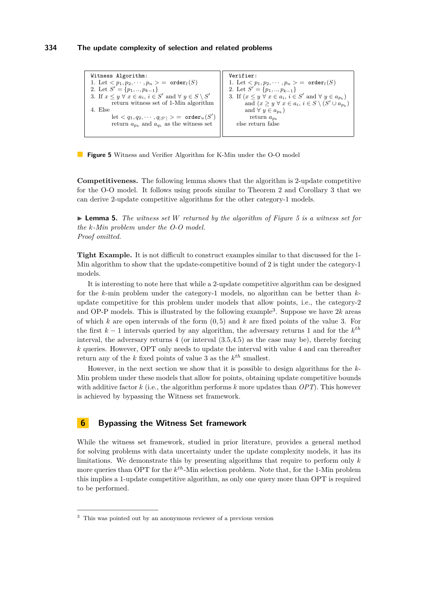```
Witness Algorithm:
1. Let <p_1, p_2, \cdots, p_n> = order<sub>l</sub>(S)
2. Let S' = \{p_1, ..., p_{k-1}\}\3. If x \leq y \forall x \in a_i, i \in S' and \forall y \in S \setminus S'return witness set of 1-Min algorithm
4. Else
           \mathrm{let} < q_1, q_2, \cdots, q_{|S'|} > \, = \, \, \texttt{order}_{u}(S')return a_{p_k} and a_{q_1} as the witness set
                                                                          Verifier:
                                                                          1. Let \langle p_1, p_2, \cdots, p_n \rangle = \text{order}_l(S)2. Let S' = \{p_1, ..., p_{k-1}\}\3. If (x \leq y \forall x \in a_i, i \in S' and \forall y \in a_{p_k}and (x \ge y \ \forall \ x \in a_i, i \in S \setminus (S' \cup a_{p_k})and \forall y \in a_{p_k})
                                                                                     return apk
                                                                              else return false
```
**Figure 5** Witness and Verifier Algorithm for K-Min under the O-O model

**Competitiveness.** The following lemma shows that the algorithm is 2-update competitive for the O-O model. It follows using proofs similar to Theorem [2](#page-6-1) and Corollary [3](#page-6-2) that we can derive 2-update competitive algorithms for the other category-1 models.

I **Lemma 5.** *The witness set W returned by the algorithm of Figure [5](#page-9-1) is a witness set for the k-Min problem under the O-O model. Proof omitted.*

**Tight Example.** It is not difficult to construct examples similar to that discussed for the 1- Min algorithm to show that the update-competitive bound of 2 is tight under the category-1 models.

It is interesting to note here that while a 2-update competitive algorithm can be designed for the *k*-min problem under the category-1 models, no algorithm can be better than *k*update competitive for this problem under models that allow points, i.e., the category-2 and OP-P models. This is illustrated by the following example<sup>3</sup>. Suppose we have  $2k$  areas of which *k* are open intervals of the form (0*,* 5) and *k* are fixed points of the value 3. For the first *k* − 1 intervals queried by any algorithm, the adversary returns 1 and for the *k th* interval, the adversary returns 4 (or interval (3.5,4.5) as the case may be), thereby forcing *k* queries. However, OPT only needs to update the interval with value 4 and can thereafter return any of the  $k$  fixed points of value 3 as the  $k^{th}$  smallest.

However, in the next section we show that it is possible to design algorithms for the *k*-Min problem under these models that allow for points, obtaining update competitive bounds with additive factor *k* (i.e., the algorithm performs *k* more updates than *OPT*). This however is achieved by bypassing the Witness set framework.

## <span id="page-9-0"></span>**6 Bypassing the Witness Set framework**

While the witness set framework, studied in prior literature, provides a general method for solving problems with data uncertainty under the update complexity models, it has its limitations. We demonstrate this by presenting algorithms that require to perform only *k* more queries than OPT for the *k th*-Min selection problem. Note that, for the 1-Min problem this implies a 1-update competitive algorithm, as only one query more than OPT is required to be performed.

<sup>3</sup> This was pointed out by an anonymous reviewer of a previous version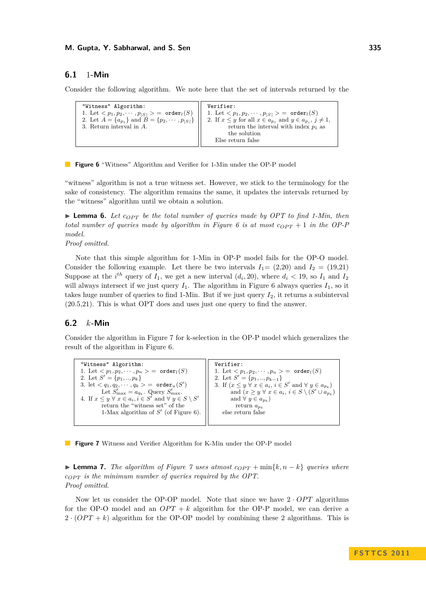## **6.1** 1**-Min**

<span id="page-10-0"></span>Consider the following algorithm. We note here that the set of intervals returned by the

```
"Witness" Algorithm:
1. Let \langle p_1, p_2, \cdots, p_{|S|} \rangle = \text{order}_l(S)2. Let A = \{a_{p_1}\}\ and B = \{p_2, \cdots, p_{|S|}\}\3. Return interval in A.
                                                            Verifier:
                                                            1. Let \langle p_1, p_2, \cdots, p_{|S|} \rangle = \text{order}_l(S)2. If x \leq y for all x \in a_{p_1} and y \in a_{p_j}, j \neq 1,
                                                                      return the interval with index p_1 as
                                                                      the solution
                                                                Else return false
```
**Figure 6** "Witness" Algorithm and Verifier for 1-Min under the OP-P model

"witness" algorithm is not a true witness set. However, we stick to the terminology for the sake of consistency. The algorithm remains the same, it updates the intervals returned by the "witness" algorithm until we obtain a solution.

<span id="page-10-2"></span>**Lemma 6.** Let  $c_{OPT}$  be the total number of queries made by OPT to find 1-Min, then *total number of queries made by algorithm in Figure [6](#page-10-0) is at most*  $c_{OPT} + 1$  *in the OP-P model.*

#### *Proof omitted.*

Note that this simple algorithm for 1-Min in OP-P model fails for the OP-O model. Consider the following example. Let there be two intervals  $I_1 = (2,20)$  and  $I_2 = (19,21)$ Suppose at the *i*<sup>th</sup> query of  $I_1$ , we get a new interval  $(d_i, 20)$ , where  $d_i < 19$ , so  $I_1$  and  $I_2$ will always intersect if we just query  $I_1$ . The algorithm in Figure [6](#page-10-0) always queries  $I_1$ , so it takes huge number of queries to find 1-Min. But if we just query *I*2, it returns a subinterval (20.5,21). This is what OPT does and uses just one query to find the answer.

# **6.2** *k***-Min**

Consider the algorithm in Figure [7](#page-10-1) for k-selection in the OP-P model which generalizes the result of the algorithm in Figure [6.](#page-10-0)

<span id="page-10-1"></span>

| "Witness" Algorithm:                                                                  | Verifier:                                                                  |
|---------------------------------------------------------------------------------------|----------------------------------------------------------------------------|
| 1. Let $\langle p_1, p_2, \cdots, p_n \rangle = \text{order}_l(S)$                    | 1. Let $\langle p_1, p_2, \cdots, p_n \rangle = \text{order}_l(S)$         |
| 2. Let $S' = \{p_1, , p_k\}$                                                          | 2. Let $S' = \{p_1, , p_{k-1}\}\$                                          |
| 3. let $\langle q_1, q_2, \cdots, q_k \rangle = \text{order}_u(S')$                   | 3. If $(x \leq y \forall x \in a_i, i \in S'$ and $\forall y \in a_{p_k}$  |
| Let $S'_{\text{max}} = a_{q_k}$ . Query $S'_{\text{max}}$ .                           | and $(x \geq y \ \forall \ x \in a_i, i \in S \setminus (S' \cup a_{p_k})$ |
| 4. If $x \leq y \ \forall \ x \in a_i, i \in S'$ and $\forall \ y \in S \setminus S'$ | and $\forall y \in a_{n}$                                                  |
| return the "witness set" of the                                                       | return $a_{n_k}$                                                           |
| 1-Max algorithm of $S'$ (of Figure 6).                                                | else return false                                                          |
|                                                                                       |                                                                            |

**Figure 7** Witness and Verifier Algorithm for K-Min under the OP-P model

**► Lemma [7](#page-10-1).** *The algorithm of Figure*  $\gamma$  *uses atmost*  $c_{OPT} + \min\{k, n - k\}$  *queries where cOP T is the minimum number of queries required by the OPT. Proof omitted.*

Now let us consider the OP-OP model. Note that since we have  $2 \cdot OPT$  algorithms for the OP-O model and an  $OPT + k$  algorithm for the OP-P model, we can derive a  $2 \cdot (OPT + k)$  algorithm for the OP-OP model by combining these 2 algorithms. This is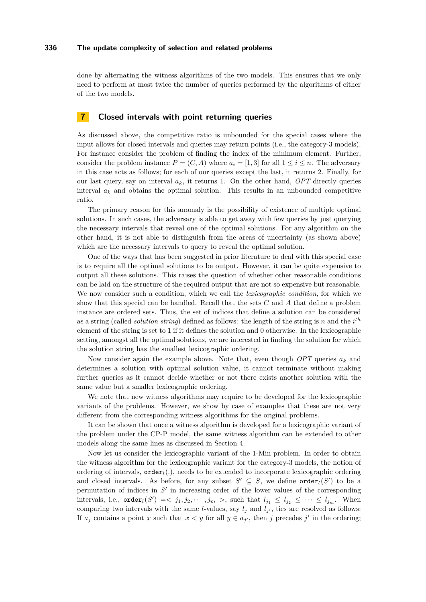done by alternating the witness algorithms of the two models. This ensures that we only need to perform at most twice the number of queries performed by the algorithms of either of the two models.

## **7 Closed intervals with point returning queries**

As discussed above, the competitive ratio is unbounded for the special cases where the input allows for closed intervals and queries may return points (i.e., the category-3 models). For instance consider the problem of finding the index of the minimum element. Further, consider the problem instance  $P = (C, A)$  where  $a_i = [1, 3]$  for all  $1 \leq i \leq n$ . The adversary in this case acts as follows; for each of our queries except the last, it returns 2. Finally, for our last query, say on interval  $a_k$ , it returns 1. On the other hand, *OPT* directly queries interval  $a_k$  and obtains the optimal solution. This results in an unbounded competitive ratio.

The primary reason for this anomaly is the possibility of existence of multiple optimal solutions. In such cases, the adversary is able to get away with few queries by just querying the necessary intervals that reveal one of the optimal solutions. For any algorithm on the other hand, it is not able to distinguish from the areas of uncertainty (as shown above) which are the necessary intervals to query to reveal the optimal solution.

One of the ways that has been suggested in prior literature to deal with this special case is to require all the optimal solutions to be output. However, it can be quite expensive to output all these solutions. This raises the question of whether other reasonable conditions can be laid on the structure of the required output that are not so expensive but reasonable. We now consider such a condition, which we call the *lexicographic condition*, for which we show that this special can be handled. Recall that the sets *C* and *A* that define a problem instance are ordered sets. Thus, the set of indices that define a solution can be considered as a string (called *solution string*) defined as follows: the length of the string is *n* and the *i th* element of the string is set to 1 if it defines the solution and 0 otherwise. In the lexicographic setting, amongst all the optimal solutions, we are interested in finding the solution for which the solution string has the smallest lexicographic ordering.

Now consider again the example above. Note that, even though *OPT* queries *a<sup>k</sup>* and determines a solution with optimal solution value, it cannot terminate without making further queries as it cannot decide whether or not there exists another solution with the same value but a smaller lexicographic ordering.

We note that new witness algorithms may require to be developed for the lexicographic variants of the problems. However, we show by case of examples that these are not very different from the corresponding witness algorithms for the original problems.

It can be shown that once a witness algorithm is developed for a lexicographic variant of the problem under the CP-P model, the same witness algorithm can be extended to other models along the same lines as discussed in Section [4.](#page-5-0)

Now let us consider the lexicographic variant of the 1-Min problem. In order to obtain the witness algorithm for the lexicographic variant for the category-3 models, the notion of ordering of intervals, order*l*(*.*), needs to be extended to incorporate lexicographic ordering and closed intervals. As before, for any subset  $S' \subseteq S$ , we define order<sub>l</sub>(*S'*) to be a permutation of indices in  $S'$  in increasing order of the lower values of the corresponding intervals, i.e.,  $\text{order}_l(S') = \langle j_1, j_2, \cdots, j_m \rangle$ , such that  $l_{j_1} \leq l_{j_2} \leq \cdots \leq l_{j_m}$ . When comparing two intervals with the same *l*-values, say  $l_j$  and  $l_{j'}$ , ties are resolved as follows: If  $a_j$  contains a point *x* such that  $x < y$  for all  $y \in a_{j'}$ , then *j* precedes *j'* in the ordering;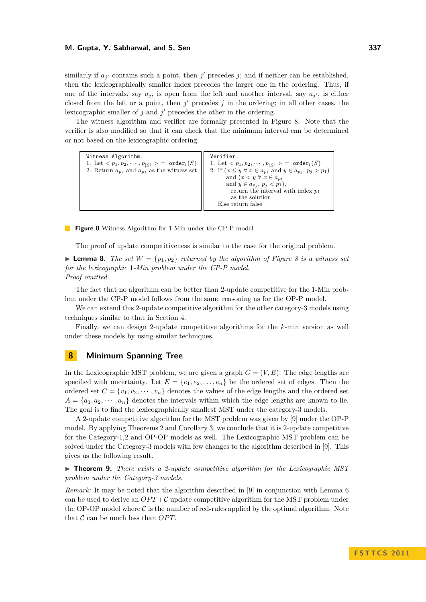similarly if  $a_{j'}$  contains such a point, then  $j'$  precedes  $j$ ; and if neither can be established, then the lexicographically smaller index precedes the larger one in the ordering. Thus, if one of the intervals, say  $a_j$ , is open from the left and another interval, say  $a_{j'}$ , is either closed from the left or a point, then  $j'$  precedes  $j$  in the ordering; in all other cases, the lexicographic smaller of  $j$  and  $j'$  precedes the other in the ordering.

The witness algorithm and verifier are formally presented in Figure [8.](#page-12-0) Note that the verifier is also modified so that it can check that the minimum interval can be determined or not based on the lexicographic ordering.

<span id="page-12-0"></span>

| Verifier:                                                                                                                                        |
|--------------------------------------------------------------------------------------------------------------------------------------------------|
| 1. Let $\langle p_1, p_2, \cdots, p_{ S } \rangle = \text{order}_l(S)$<br>1. Let $\langle p_1, p_2, \cdots, p_{ S } \rangle = \text{order}_l(S)$ |
| 2. If $(x \le y \forall x \in a_{p_1} \text{ and } y \in a_{p_j}, p_j > p_1)$<br>2. Return $a_{p_1}$ and $a_{p_2}$ as the witness set            |
| and $(x < y \ \forall \ x \in a_{n_1})$                                                                                                          |
| and $y \in a_{p_i}, p_j < p_1$ ),                                                                                                                |
| return the interval with index $p_1$                                                                                                             |
| as the solution                                                                                                                                  |
| Else return false                                                                                                                                |
|                                                                                                                                                  |

**Figure 8** Witness Algorithm for 1-Min under the CP-P model

The proof of update competitiveness is similar to the case for the original problem.

**Lemma [8](#page-12-0).** The set  $W = \{p_1, p_2\}$  returned by the algorithm of Figure 8 is a witness set *for the lexicographic* 1*-Min problem under the CP-P model. Proof omitted.*

The fact that no algorithm can be better than 2-update competitive for the 1-Min problem under the CP-P model follows from the same reasoning as for the OP-P model.

We can extend this 2-update competitive algorithm for the other category-3 models using techniques similar to that in Section [4.](#page-5-0)

Finally, we can design 2-update competitive algorithms for the *k*-min version as well under these models by using similar techniques.

# **8 Minimum Spanning Tree**

In the Lexicographic MST problem, we are given a graph  $G = (V, E)$ . The edge lengths are specified with uncertainty. Let  $E = \{e_1, e_2, \ldots, e_n\}$  be the ordered set of edges. Then the ordered set  $C = \{v_1, v_2, \dots, v_n\}$  denotes the values of the edge lengths and the ordered set  $A = \{a_1, a_2, \dots, a_n\}$  denotes the intervals within which the edge lengths are known to lie. The goal is to find the lexicographically smallest MST under the category-3 models.

A 2-update competitive algorithm for the MST problem was given by [\[9\]](#page-13-2) under the OP-P model. By applying Theorems [2](#page-6-1) and Corollary [3,](#page-6-2) we conclude that it is 2-update competitive for the Category-1,2 and OP-OP models as well. The Lexicographic MST problem can be solved under the Category-3 models with few changes to the algorithm described in [\[9\]](#page-13-2). This gives us the following result.

▶ **Theorem 9.** *There exists a 2-update competitive algorithm for the Lexicographic MST problem under the Category-3 models.*

*Remark:* It may be noted that the algorithm described in [\[9\]](#page-13-2) in conjunction with Lemma [6](#page-10-2) can be used to derive an  $OPT + C$  update competitive algorithm for the MST problem under the OP-OP model where  $\mathcal C$  is the number of red-rules applied by the optimal algorithm. Note that  $\mathcal C$  can be much less than  $OPT$ .